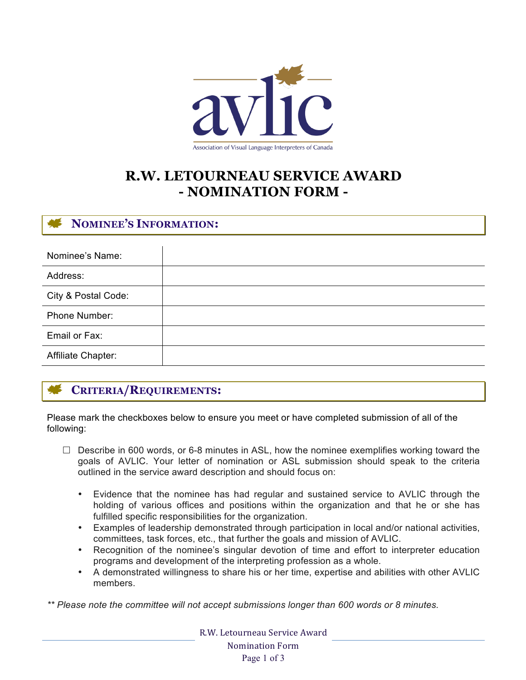

# **R.W. LETOURNEAU SERVICE AWARD - NOMINATION FORM -**

# **NOMINEE'S INFORMATION:**

| Nominee's Name:     |  |
|---------------------|--|
| Address:            |  |
| City & Postal Code: |  |
| Phone Number:       |  |
| Email or Fax:       |  |
| Affiliate Chapter:  |  |

# **CRITERIA/REQUIREMENTS:**

Please mark the checkboxes below to ensure you meet or have completed submission of all of the following:

- $\Box$  Describe in 600 words, or 6-8 minutes in ASL, how the nominee exemplifies working toward the goals of AVLIC. Your letter of nomination or ASL submission should speak to the criteria outlined in the service award description and should focus on:
	- Evidence that the nominee has had regular and sustained service to AVLIC through the holding of various offices and positions within the organization and that he or she has fulfilled specific responsibilities for the organization.
	- Examples of leadership demonstrated through participation in local and/or national activities, committees, task forces, etc., that further the goals and mission of AVLIC.
	- Recognition of the nominee's singular devotion of time and effort to interpreter education programs and development of the interpreting profession as a whole.
	- A demonstrated willingness to share his or her time, expertise and abilities with other AVLIC members.

*\*\* Please note the committee will not accept submissions longer than 600 words or 8 minutes.*

R.W. Letourneau Service Award Nomination Form Page 1 of 3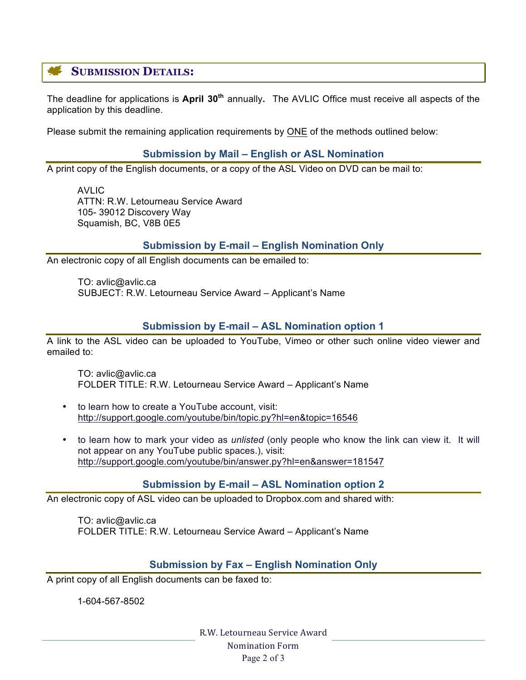# **SUBMISSION DETAILS:**

The deadline for applications is **April 30th** annually**.** The AVLIC Office must receive all aspects of the application by this deadline.

Please submit the remaining application requirements by ONE of the methods outlined below:

#### **Submission by Mail – English or ASL Nomination**

A print copy of the English documents, or a copy of the ASL Video on DVD can be mail to:

AVLIC ATTN: R.W. Letourneau Service Award 105- 39012 Discovery Way Squamish, BC, V8B 0E5

### **Submission by E-mail – English Nomination Only**

An electronic copy of all English documents can be emailed to:

TO: avlic@avlic.ca SUBJECT: R.W. Letourneau Service Award – Applicant's Name

### **Submission by E-mail – ASL Nomination option 1**

A link to the ASL video can be uploaded to YouTube, Vimeo or other such online video viewer and emailed to:

TO: avlic@avlic.ca FOLDER TITLE: R.W. Letourneau Service Award – Applicant's Name

- to learn how to create a YouTube account, visit: http://support.google.com/youtube/bin/topic.py?hl=en&topic=16546
- to learn how to mark your video as *unlisted* (only people who know the link can view it. It will not appear on any YouTube public spaces.), visit: http://support.google.com/youtube/bin/answer.py?hl=en&answer=181547

#### **Submission by E-mail – ASL Nomination option 2**

An electronic copy of ASL video can be uploaded to Dropbox.com and shared with:

TO: avlic@avlic.ca FOLDER TITLE: R.W. Letourneau Service Award – Applicant's Name

#### **Submission by Fax – English Nomination Only**

A print copy of all English documents can be faxed to:

1-604-567-8502

R.W. Letourneau Service Award Nomination Form Page 2 of 3